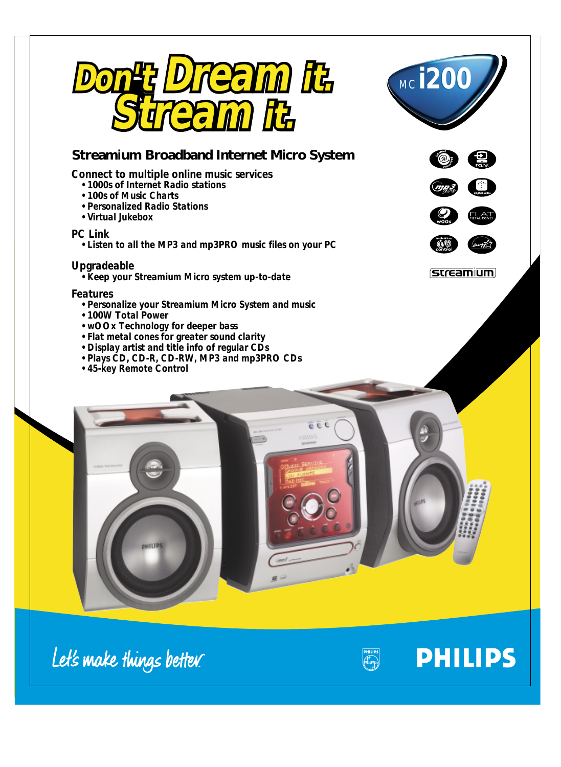



## **Stream***i***um Broadband Internet Micro System**

## *Connect to multiple online music services*

- *1000s of Internet Radio stations*
- *100s of Music Charts*
- *Personalized Radio Stations*
- *Virtual Jukebox*

## *PC Link*

*• Listen to all the MP3 and mp3PRO music files on your PC*

## *Upgradeable*

*• Keep your Streamium Micro system up-to-date*

### *Features*

- *Personalize your Streamium Micro System and music*
- *100W Total Power*
- *wOOx Technology for deeper bass*
- *Flat metal cones for greater sound clarity*
- *Display artist and title info of regular CDs*
- *Plays CD, CD-R, CD-RW, MP3 and mp3PRO CDs*
- *45-key Remote Control*







**PHILIPS** 



**OHILIPS** 



 $c$